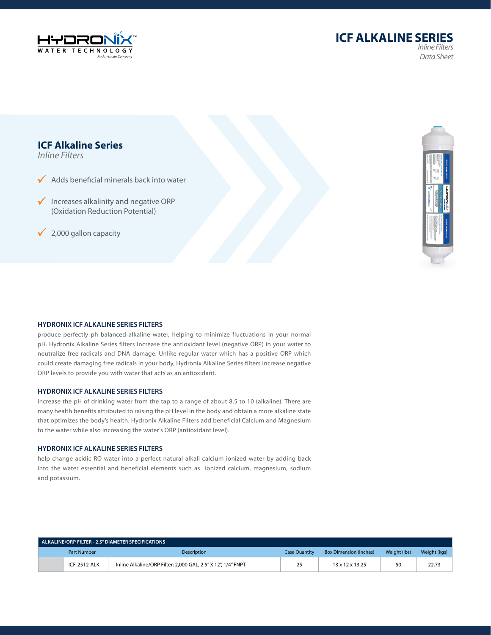



# **ICF Alkaline Series**

*Inline Filters*

 $\sqrt{\phantom{a}}$  Adds beneficial minerals back into water

 $\checkmark$  Increases alkalinity and negative ORP (Oxidation Reduction Potential)

 $\sqrt{2,000}$  gallon capacity



#### **HYDRONIX ICF ALKALINE SERIES FILTERS**

produce perfectly ph balanced alkaline water, helping to minimize fluctuations in your normal pH. Hydronix Alkaline Series filters Increase the antioxidant level (negative ORP) in your water to neutralize free radicals and DNA damage. Unlike regular water which has a positive ORP which could create damaging free radicals in your body, Hydronix Alkaline Series filters increase negative ORP levels to provide you with water that acts as an antioxidant.

#### **HYDRONIX ICF ALKALINE SERIES FILTERS**

increase the pH of drinking water from the tap to a range of about 8.5 to 10 (alkaline). There are many health benefits attributed to raising the pH level in the body and obtain a more alkaline state that optimizes the body's health. Hydronix Alkaline Filters add beneficial Calcium and Magnesium to the water while also increasing the water's ORP (antioxidant level).

#### **HYDRONIX ICF ALKALINE SERIES FILTERS**

help change acidic RO water into a perfect natural alkali calcium ionized water by adding back into the water essential and beneficial elements such as ionized calcium, magnesium, sodium and potassium.

| ALKALINE/ORP FILTER - 2.5" DIAMETER SPECIFICATIONS |              |                                                              |                      |                               |              |              |  |
|----------------------------------------------------|--------------|--------------------------------------------------------------|----------------------|-------------------------------|--------------|--------------|--|
|                                                    | Part Number  | <b>Description</b>                                           | <b>Case Ouantity</b> | <b>Box Dimension (Inches)</b> | Weight (lbs) | Weight (kgs) |  |
|                                                    | ICF-2512-ALK | Inline Alkaline/ORP Filter: 2,000 GAL, 2.5" X 12", 1/4" FNPT | 25                   | $13 \times 12 \times 13.25$   | 50           | 22.73        |  |